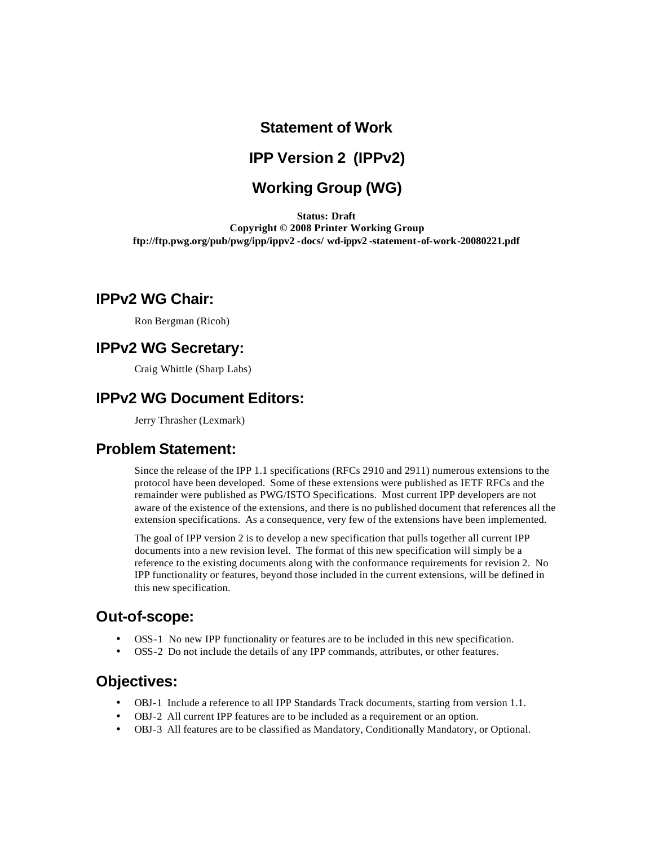# **Statement of Work**

## **IPP Version 2 (IPPv2)**

# **Working Group (WG)**

**Status: Draft Copyright © 2008 Printer Working Group ftp://ftp.pwg.org/pub/pwg/ipp/ippv2 -docs/ wd-ippv2 -statement-of-work-20080221.pdf**

### **IPPv2 WG Chair:**

Ron Bergman (Ricoh)

### **IPPv2 WG Secretary:**

Craig Whittle (Sharp Labs)

### **IPPv2 WG Document Editors:**

Jerry Thrasher (Lexmark)

## **Problem Statement:**

Since the release of the IPP 1.1 specifications (RFCs 2910 and 2911) numerous extensions to the protocol have been developed. Some of these extensions were published as IETF RFCs and the remainder were published as PWG/ISTO Specifications. Most current IPP developers are not aware of the existence of the extensions, and there is no published document that references all the extension specifications. As a consequence, very few of the extensions have been implemented.

The goal of IPP version 2 is to develop a new specification that pulls together all current IPP documents into a new revision level. The format of this new specification will simply be a reference to the existing documents along with the conformance requirements for revision 2. No IPP functionality or features, beyond those included in the current extensions, will be defined in this new specification.

# **Out-of-scope:**

- OSS-1 No new IPP functionality or features are to be included in this new specification.
- OSS-2 Do not include the details of any IPP commands, attributes, or other features.

### **Objectives:**

- OBJ-1 Include a reference to all IPP Standards Track documents, starting from version 1.1.
- OBJ-2 All current IPP features are to be included as a requirement or an option.
- OBJ-3 All features are to be classified as Mandatory, Conditionally Mandatory, or Optional.